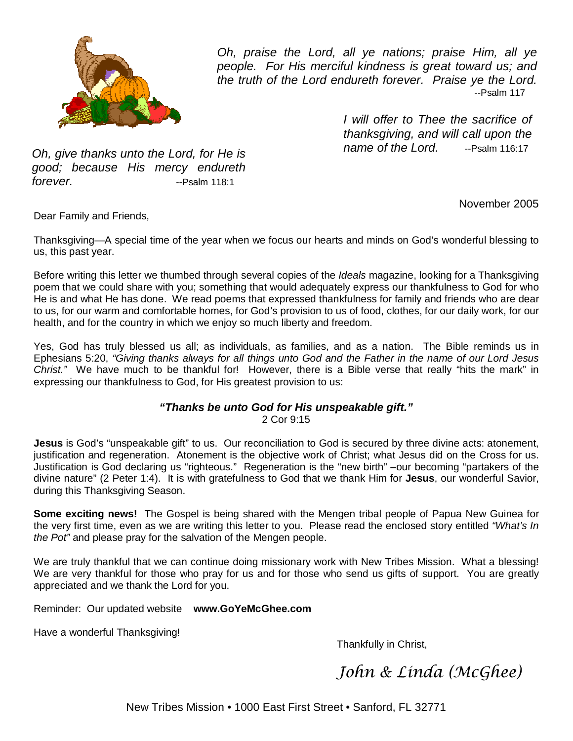

Oh, praise the Lord, all ye nations; praise Him, all ye people. For His merciful kindness is great toward us; and the truth of the Lord endureth forever. Praise ye the Lord. --Psalm 117

> I will offer to Thee the sacrifice of thanksgiving, and will call upon the name of the Lord. --Psalm 116:17

Oh, give thanks unto the Lord, for He is good; because His mercy endureth forever. The settlement of the settlement of the Psalm 118:1

November 2005

Dear Family and Friends,

Thanksgiving—A special time of the year when we focus our hearts and minds on God's wonderful blessing to us, this past year.

Before writing this letter we thumbed through several copies of the *Ideals* magazine, looking for a Thanksgiving poem that we could share with you; something that would adequately express our thankfulness to God for who He is and what He has done. We read poems that expressed thankfulness for family and friends who are dear to us, for our warm and comfortable homes, for God's provision to us of food, clothes, for our daily work, for our health, and for the country in which we enjoy so much liberty and freedom.

Yes, God has truly blessed us all; as individuals, as families, and as a nation. The Bible reminds us in Ephesians 5:20, "Giving thanks always for all things unto God and the Father in the name of our Lord Jesus Christ." We have much to be thankful for! However, there is a Bible verse that really "hits the mark" in expressing our thankfulness to God, for His greatest provision to us:

## **"Thanks be unto God for His unspeakable gift."** 2 Cor 9:15

**Jesus** is God's "unspeakable gift" to us. Our reconciliation to God is secured by three divine acts: atonement, justification and regeneration. Atonement is the objective work of Christ; what Jesus did on the Cross for us. Justification is God declaring us "righteous." Regeneration is the "new birth" –our becoming "partakers of the divine nature" (2 Peter 1:4). It is with gratefulness to God that we thank Him for **Jesus**, our wonderful Savior, during this Thanksgiving Season.

**Some exciting news!** The Gospel is being shared with the Mengen tribal people of Papua New Guinea for the very first time, even as we are writing this letter to you. Please read the enclosed story entitled "What's In the Pot" and please pray for the salvation of the Mengen people.

We are truly thankful that we can continue doing missionary work with New Tribes Mission. What a blessing! We are very thankful for those who pray for us and for those who send us gifts of support. You are greatly appreciated and we thank the Lord for you.

Reminder: Our updated website **www.GoYeMcGhee.com**

Have a wonderful Thanksgiving!

Thankfully in Christ,

John & Linda (McGhee)